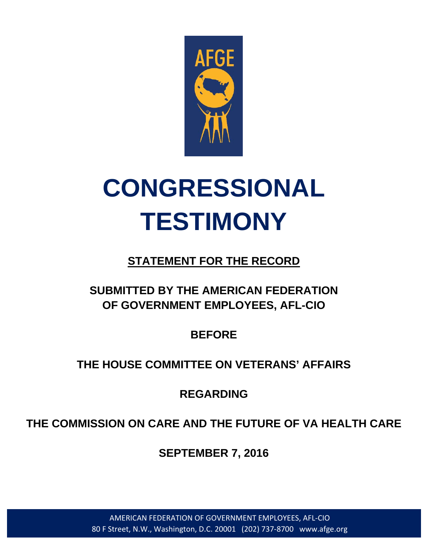

# **CONGRESSIONAL TESTIMONY**

# **STATEMENT FOR THE RECORD**

# **SUBMITTED BY THE AMERICAN FEDERATION OF GOVERNMENT EMPLOYEES, AFL-CIO**

**BEFORE**

## **THE HOUSE COMMITTEE ON VETERANS' AFFAIRS**

**REGARDING**

**THE COMMISSION ON CARE AND THE FUTURE OF VA HEALTH CARE**

**SEPTEMBER 7, 2016**

AMERICAN FEDERATION OF GOVERNMENT EMPLOYEES, AFL-CIO 80 F Street, N.W., Washington, D.C. 20001 (202) 737-8700 www.afge.org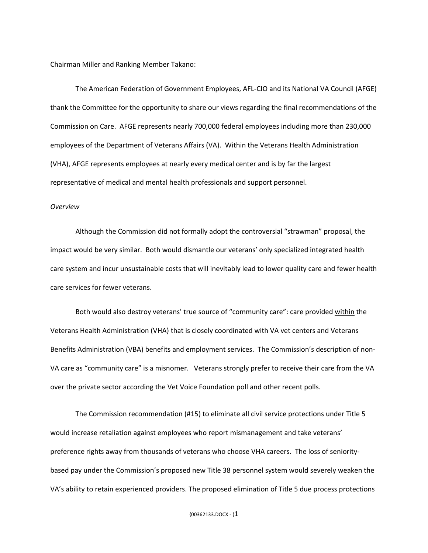Chairman Miller and Ranking Member Takano:

The American Federation of Government Employees, AFL-CIO and its National VA Council (AFGE) thank the Committee for the opportunity to share our views regarding the final recommendations of the Commission on Care. AFGE represents nearly 700,000 federal employees including more than 230,000 employees of the Department of Veterans Affairs (VA). Within the Veterans Health Administration (VHA), AFGE represents employees at nearly every medical center and is by far the largest representative of medical and mental health professionals and support personnel.

### *Overview*

Although the Commission did not formally adopt the controversial "strawman" proposal, the impact would be very similar. Both would dismantle our veterans' only specialized integrated health care system and incur unsustainable costs that will inevitably lead to lower quality care and fewer health care services for fewer veterans.

Both would also destroy veterans' true source of "community care": care provided within the Veterans Health Administration (VHA) that is closely coordinated with VA vet centers and Veterans Benefits Administration (VBA) benefits and employment services. The Commission's description of non-VA care as "community care" is a misnomer. Veterans strongly prefer to receive their care from the VA over the private sector according the Vet Voice Foundation poll and other recent polls.

The Commission recommendation (#15) to eliminate all civil service protections under Title 5 would increase retaliation against employees who report mismanagement and take veterans' preference rights away from thousands of veterans who choose VHA careers. The loss of senioritybased pay under the Commission's proposed new Title 38 personnel system would severely weaken the VA's ability to retain experienced providers. The proposed elimination of Title 5 due process protections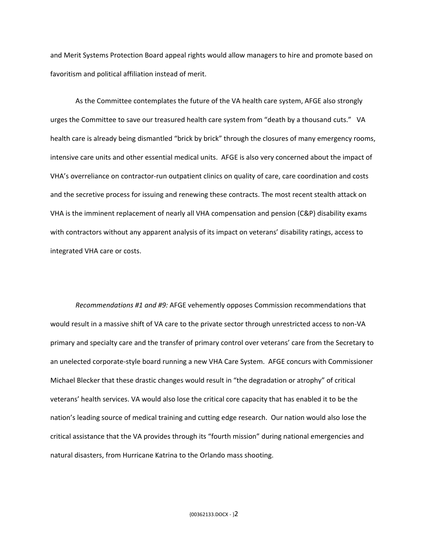and Merit Systems Protection Board appeal rights would allow managers to hire and promote based on favoritism and political affiliation instead of merit.

As the Committee contemplates the future of the VA health care system, AFGE also strongly urges the Committee to save our treasured health care system from "death by a thousand cuts." VA health care is already being dismantled "brick by brick" through the closures of many emergency rooms, intensive care units and other essential medical units. AFGE is also very concerned about the impact of VHA's overreliance on contractor-run outpatient clinics on quality of care, care coordination and costs and the secretive process for issuing and renewing these contracts. The most recent stealth attack on VHA is the imminent replacement of nearly all VHA compensation and pension (C&P) disability exams with contractors without any apparent analysis of its impact on veterans' disability ratings, access to integrated VHA care or costs.

*Recommendations #1 and #9:* AFGE vehemently opposes Commission recommendations that would result in a massive shift of VA care to the private sector through unrestricted access to non-VA primary and specialty care and the transfer of primary control over veterans' care from the Secretary to an unelected corporate-style board running a new VHA Care System. AFGE concurs with Commissioner Michael Blecker that these drastic changes would result in "the degradation or atrophy" of critical veterans' health services. VA would also lose the critical core capacity that has enabled it to be the nation's leading source of medical training and cutting edge research. Our nation would also lose the critical assistance that the VA provides through its "fourth mission" during national emergencies and natural disasters, from Hurricane Katrina to the Orlando mass shooting.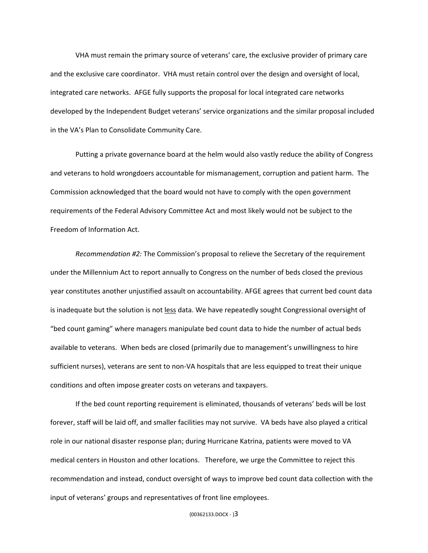VHA must remain the primary source of veterans' care, the exclusive provider of primary care and the exclusive care coordinator. VHA must retain control over the design and oversight of local, integrated care networks. AFGE fully supports the proposal for local integrated care networks developed by the Independent Budget veterans' service organizations and the similar proposal included in the VA's Plan to Consolidate Community Care.

Putting a private governance board at the helm would also vastly reduce the ability of Congress and veterans to hold wrongdoers accountable for mismanagement, corruption and patient harm. The Commission acknowledged that the board would not have to comply with the open government requirements of the Federal Advisory Committee Act and most likely would not be subject to the Freedom of Information Act.

*Recommendation #2:* The Commission's proposal to relieve the Secretary of the requirement under the Millennium Act to report annually to Congress on the number of beds closed the previous year constitutes another unjustified assault on accountability. AFGE agrees that current bed count data is inadequate but the solution is not less data. We have repeatedly sought Congressional oversight of "bed count gaming" where managers manipulate bed count data to hide the number of actual beds available to veterans. When beds are closed (primarily due to management's unwillingness to hire sufficient nurses), veterans are sent to non-VA hospitals that are less equipped to treat their unique conditions and often impose greater costs on veterans and taxpayers.

If the bed count reporting requirement is eliminated, thousands of veterans' beds will be lost forever, staff will be laid off, and smaller facilities may not survive. VA beds have also played a critical role in our national disaster response plan; during Hurricane Katrina, patients were moved to VA medical centers in Houston and other locations. Therefore, we urge the Committee to reject this recommendation and instead, conduct oversight of ways to improve bed count data collection with the input of veterans' groups and representatives of front line employees.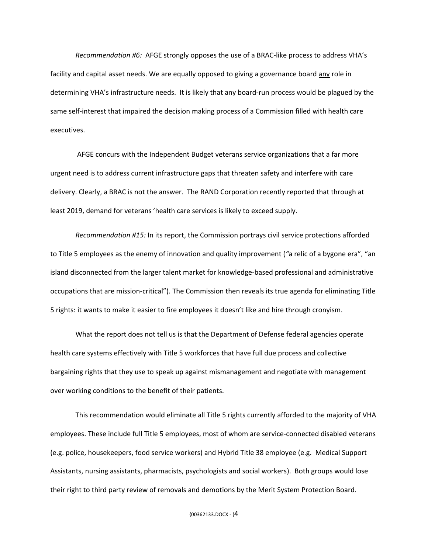*Recommendation #6:* AFGE strongly opposes the use of a BRAC-like process to address VHA's facility and capital asset needs. We are equally opposed to giving a governance board any role in determining VHA's infrastructure needs. It is likely that any board-run process would be plagued by the same self-interest that impaired the decision making process of a Commission filled with health care executives.

AFGE concurs with the Independent Budget veterans service organizations that a far more urgent need is to address current infrastructure gaps that threaten safety and interfere with care delivery. Clearly, a BRAC is not the answer. The RAND Corporation recently reported that through at least 2019, demand for veterans 'health care services is likely to exceed supply.

*Recommendation #15:* In its report, the Commission portrays civil service protections afforded to Title 5 employees as the enemy of innovation and quality improvement (*"*a relic of a bygone era", "an island disconnected from the larger talent market for knowledge-based professional and administrative occupations that are mission-critical"). The Commission then reveals its true agenda for eliminating Title 5 rights: it wants to make it easier to fire employees it doesn't like and hire through cronyism.

What the report does not tell us is that the Department of Defense federal agencies operate health care systems effectively with Title 5 workforces that have full due process and collective bargaining rights that they use to speak up against mismanagement and negotiate with management over working conditions to the benefit of their patients.

This recommendation would eliminate all Title 5 rights currently afforded to the majority of VHA employees. These include full Title 5 employees, most of whom are service-connected disabled veterans (e.g. police, housekeepers, food service workers) and Hybrid Title 38 employee (e.g. Medical Support Assistants, nursing assistants, pharmacists, psychologists and social workers). Both groups would lose their right to third party review of removals and demotions by the Merit System Protection Board.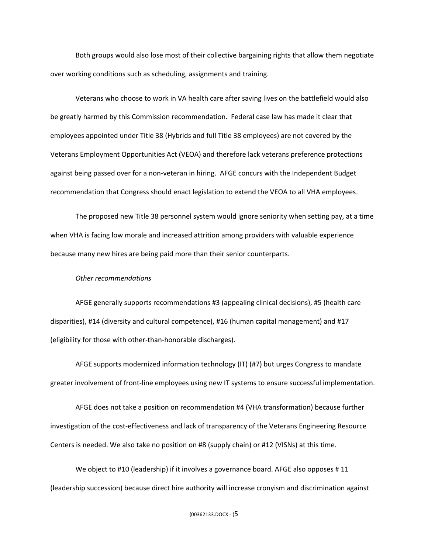Both groups would also lose most of their collective bargaining rights that allow them negotiate over working conditions such as scheduling, assignments and training.

Veterans who choose to work in VA health care after saving lives on the battlefield would also be greatly harmed by this Commission recommendation. Federal case law has made it clear that employees appointed under Title 38 (Hybrids and full Title 38 employees) are not covered by the Veterans Employment Opportunities Act (VEOA) and therefore lack veterans preference protections against being passed over for a non-veteran in hiring. AFGE concurs with the Independent Budget recommendation that Congress should enact legislation to extend the VEOA to all VHA employees.

The proposed new Title 38 personnel system would ignore seniority when setting pay, at a time when VHA is facing low morale and increased attrition among providers with valuable experience because many new hires are being paid more than their senior counterparts.

#### *Other recommendations*

AFGE generally supports recommendations #3 (appealing clinical decisions), #5 (health care disparities), #14 (diversity and cultural competence), #16 (human capital management) and #17 (eligibility for those with other-than-honorable discharges).

AFGE supports modernized information technology (IT) (#7) but urges Congress to mandate greater involvement of front-line employees using new IT systems to ensure successful implementation.

AFGE does not take a position on recommendation #4 (VHA transformation) because further investigation of the cost-effectiveness and lack of transparency of the Veterans Engineering Resource Centers is needed. We also take no position on #8 (supply chain) or #12 (VISNs) at this time.

We object to #10 (leadership) if it involves a governance board. AFGE also opposes #11 (leadership succession) because direct hire authority will increase cronyism and discrimination against